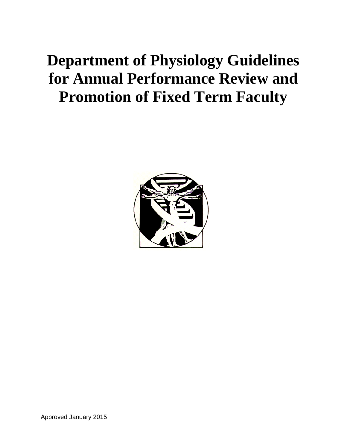# **Department of Physiology Guidelines for Annual Performance Review and Promotion of Fixed Term Faculty**



Approved January 2015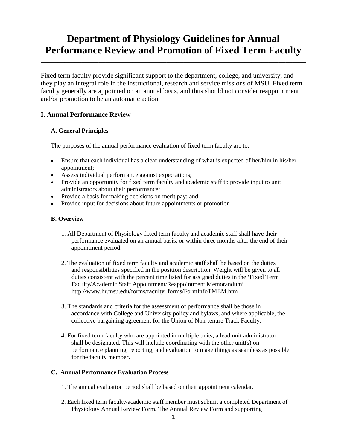# **Department of Physiology Guidelines for Annual Performance Review and Promotion of Fixed Term Faculty**

\_\_\_\_\_\_\_\_\_\_\_\_\_\_\_\_\_\_\_\_\_\_\_\_\_\_\_\_\_\_\_\_\_\_\_\_\_\_\_\_\_\_\_\_\_\_\_\_\_\_\_\_\_\_\_\_\_\_\_\_\_\_\_\_\_\_\_\_\_\_\_\_\_\_\_\_\_\_

Fixed term faculty provide significant support to the department, college, and university, and they play an integral role in the instructional, research and service missions of MSU. Fixed term faculty generally are appointed on an annual basis, and thus should not consider reappointment and/or promotion to be an automatic action.

# **I. Annual Performance Review**

# **A. General Principles**

The purposes of the annual performance evaluation of fixed term faculty are to:

- Ensure that each individual has a clear understanding of what is expected of her/him in his/her appointment;
- Assess individual performance against expectations;
- Provide an opportunity for fixed term faculty and academic staff to provide input to unit administrators about their performance;
- Provide a basis for making decisions on merit pay; and
- Provide input for decisions about future appointments or promotion

#### **B. Overview**

- 1. All Department of Physiology fixed term faculty and academic staff shall have their performance evaluated on an annual basis, or within three months after the end of their appointment period.
- 2. The evaluation of fixed term faculty and academic staff shall be based on the duties and responsibilities specified in the position description. Weight will be given to all duties consistent with the percent time listed for assigned duties in the 'Fixed Term Faculty/Academic Staff Appointment/Reappointment Memorandum' http://www.hr.msu.edu/forms/faculty\_forms/FormInfoTMEM.htm
- 3. The standards and criteria for the assessment of performance shall be those in accordance with College and University policy and bylaws, and where applicable, the collective bargaining agreement for the Union of Non-tenure Track Faculty.
- 4. For fixed term faculty who are appointed in multiple units, a lead unit administrator shall be designated. This will include coordinating with the other unit(s) on performance planning, reporting, and evaluation to make things as seamless as possible for the faculty member.

# **C. Annual Performance Evaluation Process**

- 1. The annual evaluation period shall be based on their appointment calendar.
- 2. Each fixed term faculty/academic staff member must submit a completed Department of Physiology Annual Review Form. The Annual Review Form and supporting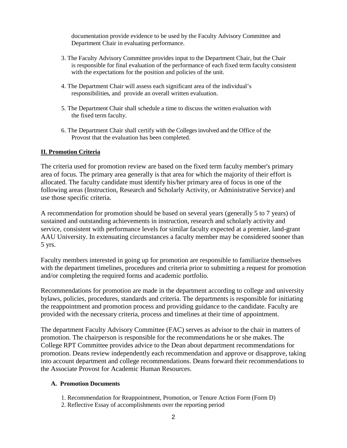documentation provide evidence to be used by the Faculty Advisory Committee and Department Chair in evaluating performance.

- 3. The Faculty Advisory Committee provides input to the Department Chair, but the Chair is responsible for final evaluation of the performance of each fixed term faculty consistent with the expectations for the position and policies of the unit.
- 4. The Department Chair will assess each significant area of the individual's responsibilities, and provide an overall written evaluation.
- 5. The Department Chair shall schedule a time to discuss the written evaluation with the fixed term faculty.
- 6. The Department Chair shall certify with the Colleges involved and the Office of the Provost that the evaluation has been completed.

# **II. Promotion Criteria**

The criteria used for promotion review are based on the fixed term faculty member's primary area of focus. The primary area generally is that area for which the majority of their effort is allocated. The faculty candidate must identify his/her primary area of focus in one of the following areas (Instruction, Research and Scholarly Activity, or Administrative Service) and use those specific criteria.

A recommendation for promotion should be based on several years (generally 5 to 7 years) of sustained and outstanding achievements in instruction, research and scholarly activity and service, consistent with performance levels for similar faculty expected at a premier, land-grant AAU University. In extenuating circumstances a faculty member may be considered sooner than 5 yrs.

Faculty members interested in going up for promotion are responsible to familiarize themselves with the department timelines, procedures and criteria prior to submitting a request for promotion and/or completing the required forms and academic portfolio.

Recommendations for promotion are made in the department according to college and university bylaws, policies, procedures, standards and criteria. The departments is responsible for initiating the reappointment and promotion process and providing guidance to the candidate. Faculty are provided with the necessary criteria, process and timelines at their time of appointment.

The department Faculty Advisory Committee (FAC) serves as advisor to the chair in matters of promotion. The chairperson is responsible for the recommendations he or she makes. The College RPT Committee provides advice to the Dean about department recommendations for promotion. Deans review independently each recommendation and approve or disapprove, taking into account department and college recommendations. Deans forward their recommendations to the Associate Provost for Academic Human Resources.

#### **A. Promotion Documents**

- 1. Recommendation for Reappointment, Promotion, or Tenure Action Form (Form D)
- 2. Reflective Essay of accomplishments over the reporting period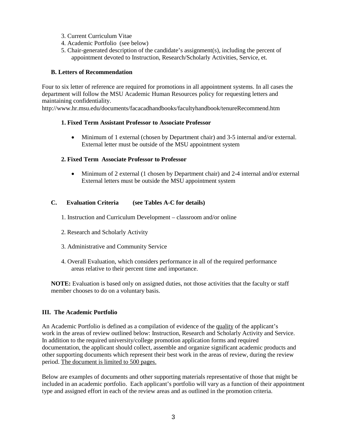- 3. Current Curriculum Vitae
- 4. Academic Portfolio (see below)
- 5. Chair-generated description of the candidate's assignment(s), including the percent of appointment devoted to Instruction, Research/Scholarly Activities, Service, et.

#### **B. Letters of Recommendation**

Four to six letter of reference are required for promotions in all appointment systems. In all cases the department will follow the MSU Academic Human Resources policy for requesting letters and maintaining confidentiality.

http://www.hr.msu.edu/documents/facacadhandbooks/facultyhandbook/tenureRecommend.htm

#### **1. Fixed Term Assistant Professor to Associate Professor**

• Minimum of 1 external (chosen by Department chair) and 3-5 internal and/or external. External letter must be outside of the MSU appointment system

#### **2. Fixed Term Associate Professor to Professor**

• Minimum of 2 external (1 chosen by Department chair) and 2-4 internal and/or external External letters must be outside the MSU appointment system

#### **C. Evaluation Criteria (see Tables A-C for details)**

1. Instruction and Curriculum Development – classroom and/or online

- 2. Research and Scholarly Activity
- 3. Administrative and Community Service
- 4. Overall Evaluation, which considers performance in all of the required performance areas relative to their percent time and importance.

**NOTE:** Evaluation is based only on assigned duties, not those activities that the faculty or staff member chooses to do on a voluntary basis.

#### **III. The Academic Portfolio**

An Academic Portfolio is defined as a compilation of evidence of the quality of the applicant's work in the areas of review outlined below: Instruction, Research and Scholarly Activity and Service. In addition to the required university/college promotion application forms and required documentation, the applicant should collect, assemble and organize significant academic products and other supporting documents which represent their best work in the areas of review, during the review period. The document is limited to 500 pages.

Below are examples of documents and other supporting materials representative of those that might be included in an academic portfolio. Each applicant's portfolio will vary as a function of their appointment type and assigned effort in each of the review areas and as outlined in the promotion criteria.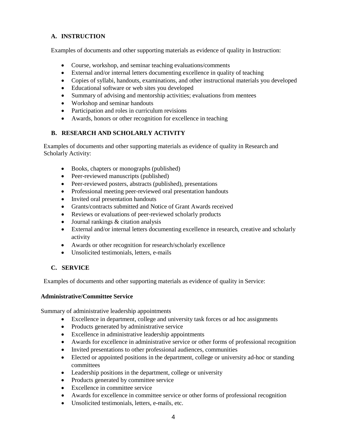# **A. INSTRUCTION**

Examples of documents and other supporting materials as evidence of quality in Instruction:

- Course, workshop, and seminar teaching evaluations/comments
- External and/or internal letters documenting excellence in quality of teaching
- Copies of syllabi, handouts, examinations, and other instructional materials you developed
- Educational software or web sites you developed
- Summary of advising and mentorship activities; evaluations from mentees
- Workshop and seminar handouts
- Participation and roles in curriculum revisions
- Awards, honors or other recognition for excellence in teaching

#### **B. RESEARCH AND SCHOLARLY ACTIVITY**

Examples of documents and other supporting materials as evidence of quality in Research and Scholarly Activity:

- Books, chapters or monographs (published)
- Peer-reviewed manuscripts (published)
- Peer-reviewed posters, abstracts (published), presentations
- Professional meeting peer-reviewed oral presentation handouts
- Invited oral presentation handouts
- Grants/contracts submitted and Notice of Grant Awards received
- Reviews or evaluations of peer-reviewed scholarly products
- Journal rankings & citation analysis
- External and/or internal letters documenting excellence in research, creative and scholarly activity
- Awards or other recognition for research/scholarly excellence
- Unsolicited testimonials, letters, e-mails

# **C. SERVICE**

Examples of documents and other supporting materials as evidence of quality in Service:

#### **Administrative/Committee Service**

Summary of administrative leadership appointments

- Excellence in department, college and university task forces or ad hoc assignments
- Products generated by administrative service
- Excellence in administrative leadership appointments
- Awards for excellence in administrative service or other forms of professional recognition
- Invited presentations to other professional audiences, communities
- Elected or appointed positions in the department, college or university ad-hoc or standing committees
- Leadership positions in the department, college or university
- Products generated by committee service
- Excellence in committee service
- Awards for excellence in committee service or other forms of professional recognition
- Unsolicited testimonials, letters, e-mails, etc.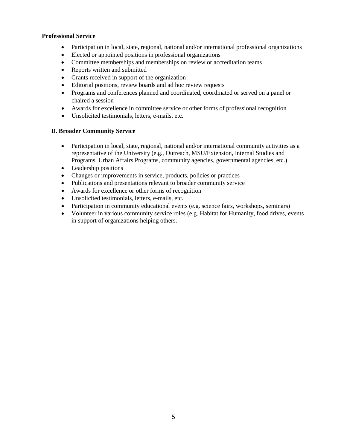#### **Professional Service**

- Participation in local, state, regional, national and/or international professional organizations
- Elected or appointed positions in professional organizations
- Committee memberships and memberships on review or accreditation teams
- Reports written and submitted
- Grants received in support of the organization
- Editorial positions, review boards and ad hoc review requests
- Programs and conferences planned and coordinated, coordinated or served on a panel or chaired a session
- Awards for excellence in committee service or other forms of professional recognition
- Unsolicited testimonials, letters, e-mails, etc.

#### **D. Broader Community Service**

- Participation in local, state, regional, national and/or international community activities as a representative of the University (e.g., Outreach, MSU/Extension, Internal Studies and Programs, Urban Affairs Programs, community agencies, governmental agencies, etc.)
- Leadership positions
- Changes or improvements in service, products, policies or practices
- Publications and presentations relevant to broader community service
- Awards for excellence or other forms of recognition
- Unsolicited testimonials, letters, e-mails, etc.
- Participation in community educational events (e.g. science fairs, workshops, seminars)
- Volunteer in various community service roles (e.g. Habitat for Humanity, food drives, events in support of organizations helping others.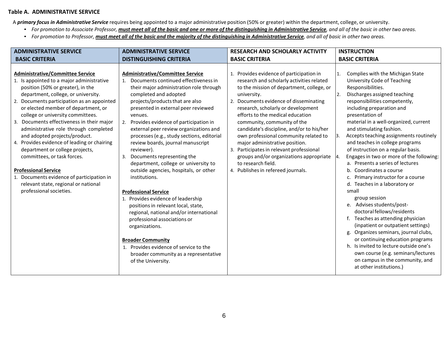#### **Table A. ADMINISTRATIVE SERVICE**

A *primary focus in Administrative Service* requires being appointed to a major administrative position (50% or greater) within the department, college, or university.

- For promotion to Associate Professor, must meet all of the basic and one or more of the distinguishing in Administrative Service, and all of the basic in other two areas.
- For promotion to Professor, must meet all of the basic and the majority of the distinguishing in Administrative Service, and all of basic in other two areas.

| <b>ADMINISTRATIVE SERVICE</b>                                                                                                                                                                                                                                                                                                                                                                                                                                                                                                                                                                                                                                                     | <b>ADMINISTRATIVE SERVICE</b>                                                                                                                                                                                                                                                                                                                                                                                                                                                                                                                                                                                                                                                                                                                                                                                                                                                                                                | <b>RESEARCH AND SCHOLARLY ACTIVITY</b>                                                                                                                                                                                                                                                                                                                                                                                                                                                                                                                                          | <b>INSTRUCTION</b>                                                                                                                                                                                                                                                                                                                                                                                                                                                                                                                                                                                                                                                                                                                                                                                                                                                                                                                                                                                          |
|-----------------------------------------------------------------------------------------------------------------------------------------------------------------------------------------------------------------------------------------------------------------------------------------------------------------------------------------------------------------------------------------------------------------------------------------------------------------------------------------------------------------------------------------------------------------------------------------------------------------------------------------------------------------------------------|------------------------------------------------------------------------------------------------------------------------------------------------------------------------------------------------------------------------------------------------------------------------------------------------------------------------------------------------------------------------------------------------------------------------------------------------------------------------------------------------------------------------------------------------------------------------------------------------------------------------------------------------------------------------------------------------------------------------------------------------------------------------------------------------------------------------------------------------------------------------------------------------------------------------------|---------------------------------------------------------------------------------------------------------------------------------------------------------------------------------------------------------------------------------------------------------------------------------------------------------------------------------------------------------------------------------------------------------------------------------------------------------------------------------------------------------------------------------------------------------------------------------|-------------------------------------------------------------------------------------------------------------------------------------------------------------------------------------------------------------------------------------------------------------------------------------------------------------------------------------------------------------------------------------------------------------------------------------------------------------------------------------------------------------------------------------------------------------------------------------------------------------------------------------------------------------------------------------------------------------------------------------------------------------------------------------------------------------------------------------------------------------------------------------------------------------------------------------------------------------------------------------------------------------|
| <b>BASIC CRITERIA</b>                                                                                                                                                                                                                                                                                                                                                                                                                                                                                                                                                                                                                                                             | <b>DISTINGUISHING CRITERIA</b>                                                                                                                                                                                                                                                                                                                                                                                                                                                                                                                                                                                                                                                                                                                                                                                                                                                                                               | <b>BASIC CRITERIA</b>                                                                                                                                                                                                                                                                                                                                                                                                                                                                                                                                                           | <b>BASIC CRITERIA</b>                                                                                                                                                                                                                                                                                                                                                                                                                                                                                                                                                                                                                                                                                                                                                                                                                                                                                                                                                                                       |
| <b>Administrative/Committee Service</b><br>1. Is appointed to a major administrative<br>position (50% or greater), in the<br>department, college, or university.<br>2. Documents participation as an appointed<br>or elected member of department, or<br>college or university committees.<br>3. Documents effectiveness in their major<br>administrative role through completed<br>and adopted projects/product.<br>4. Provides evidence of leading or chairing<br>department or college projects,<br>committees, or task forces.<br><b>Professional Service</b><br>1. Documents evidence of participation in<br>relevant state, regional or national<br>professional societies. | <b>Administrative/Committee Service</b><br>Documents continued effectiveness in<br>1.<br>their major administration role through<br>completed and adopted<br>projects/products that are also<br>presented in external peer reviewed<br>venues.<br>Provides evidence of participation in<br>2.<br>external peer review organizations and<br>processes (e.g., study sections, editorial<br>review boards, journal manuscript<br>reviewer).<br>Documents representing the<br>3.<br>department, college or university to<br>outside agencies, hospitals, or other<br>institutions.<br><b>Professional Service</b><br>1. Provides evidence of leadership<br>positions in relevant local, state,<br>regional, national and/or international<br>professional associations or<br>organizations.<br><b>Broader Community</b><br>1. Provides evidence of service to the<br>broader community as a representative<br>of the University. | 1. Provides evidence of participation in<br>research and scholarly activities related<br>to the mission of department, college, or<br>university.<br>2. Documents evidence of disseminating<br>research, scholarly or development<br>efforts to the medical education<br>community, community of the<br>candidate's discipline, and/or to his/her<br>own professional community related to<br>major administrative position.<br>3. Participates in relevant professional<br>groups and/or organizations appropriate<br>to research field.<br>4. Publishes in refereed journals. | Complies with the Michigan State<br>1.<br>University Code of Teaching<br>Responsibilities.<br>Discharges assigned teaching<br>2.<br>responsibilities competently,<br>including preparation and<br>presentation of<br>material in a well-organized, current<br>and stimulating fashion.<br>Accepts teaching assignments routinely<br>$\mathsf{B}$ .<br>and teaches in college programs<br>of instruction on a regular basis.<br>Engages in two or more of the following:<br>a. Presents a series of lectures<br>b. Coordinates a course<br>Primary instructor for a course<br>c.<br>d. Teaches in a laboratory or<br>small<br>group session<br>e. Advises students/post-<br>doctoral fellows/residents<br>f. Teaches as attending physician<br>(inpatient or outpatient settings)<br>g. Organizes seminars, journal clubs,<br>or continuing education programs<br>h. Is invited to lecture outside one's<br>own course (e.g. seminars/lectures<br>on campus in the community, and<br>at other institutions.) |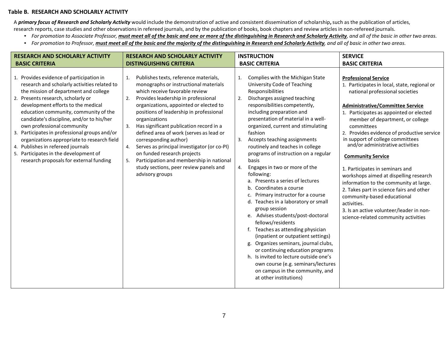#### **Table B. RESEARCH AND SCHOLARLY ACTIVITY**

A primary focus of Research and Scholarly Activity would include the demonstration of active and consistent dissemination of scholarship, such as the publication of articles,

- research reports, case studies and other observationsin refereed journals, and by the publication of books, book chapters and review articlesin non-refereed journals.
	- For promotion to Associate Professor, must meet all of the basic and one or more of the distinguishing in Research and Scholarly Activity, and all of the basic in other two areas.
	- For promotion to Professor, must meet all of the basic and the majority of the distinguishing in Research and Scholarly Activity, and all of basic in other two areas.

| <b>RESEARCH AND SCHOLARLY ACTIVITY</b>                                                                                                                                                                                                                                                                                                                                                                                                                                                                                                                     | <b>RESEARCH AND SCHOLARLY ACTIVITY</b>                                                                                                                                                                                                                                                                                                                                                                                                                                                                                                                                                            | <b>INSTRUCTION</b>                                                                                                                                                                                                                                                                                                                                                                                                                                                                                                                                                                                                                                                                                                                                                                                                                                                                                                                                                                             | <b>SERVICE</b>                                                                                                                                                                                                                                                                                                                                                                                                                                                                                                                                                                                                                                                                                                |
|------------------------------------------------------------------------------------------------------------------------------------------------------------------------------------------------------------------------------------------------------------------------------------------------------------------------------------------------------------------------------------------------------------------------------------------------------------------------------------------------------------------------------------------------------------|---------------------------------------------------------------------------------------------------------------------------------------------------------------------------------------------------------------------------------------------------------------------------------------------------------------------------------------------------------------------------------------------------------------------------------------------------------------------------------------------------------------------------------------------------------------------------------------------------|------------------------------------------------------------------------------------------------------------------------------------------------------------------------------------------------------------------------------------------------------------------------------------------------------------------------------------------------------------------------------------------------------------------------------------------------------------------------------------------------------------------------------------------------------------------------------------------------------------------------------------------------------------------------------------------------------------------------------------------------------------------------------------------------------------------------------------------------------------------------------------------------------------------------------------------------------------------------------------------------|---------------------------------------------------------------------------------------------------------------------------------------------------------------------------------------------------------------------------------------------------------------------------------------------------------------------------------------------------------------------------------------------------------------------------------------------------------------------------------------------------------------------------------------------------------------------------------------------------------------------------------------------------------------------------------------------------------------|
| <b>BASIC CRITERIA</b>                                                                                                                                                                                                                                                                                                                                                                                                                                                                                                                                      | <b>DISTINGUISHING CRITERIA</b>                                                                                                                                                                                                                                                                                                                                                                                                                                                                                                                                                                    | <b>BASIC CRITERIA</b>                                                                                                                                                                                                                                                                                                                                                                                                                                                                                                                                                                                                                                                                                                                                                                                                                                                                                                                                                                          | <b>BASIC CRITERIA</b>                                                                                                                                                                                                                                                                                                                                                                                                                                                                                                                                                                                                                                                                                         |
| 1. Provides evidence of participation in<br>research and scholarly activities related to<br>the mission of department and college<br>2. Presents research, scholarly or<br>development efforts to the medical<br>education community, community of the<br>candidate's discipline, and/or to his/her<br>own professional community<br>3. Participates in professional groups and/or<br>organizations appropriate to research field<br>4. Publishes in refereed journals<br>5. Participates in the development of<br>research proposals for external funding | Publishes texts, reference materials,<br>1.<br>monographs or instructional materials<br>which receive favorable review<br>Provides leadership in professional<br>2.<br>organizations, appointed or elected to<br>positions of leadership in professional<br>organizations<br>Has significant publication record in a<br>3.<br>defined area of work (serves as lead or<br>corresponding author)<br>Serves as principal investigator (or co-PI)<br>4.<br>on funded research projects<br>Participation and membership in national<br>5.<br>study sections, peer review panels and<br>advisory groups | Complies with the Michigan State<br>1.<br>University Code of Teaching<br>Responsibilities<br>Discharges assigned teaching<br>2.<br>responsibilities competently,<br>including preparation and<br>presentation of material in a well-<br>organized, current and stimulating<br>fashion<br>Accepts teaching assignments<br>3.<br>routinely and teaches in college<br>programs of instruction on a regular<br>basis<br>Engages in two or more of the<br>4.<br>following:<br>a. Presents a series of lectures<br>b. Coordinates a course<br>Primary instructor for a course<br>d. Teaches in a laboratory or small<br>group session<br>e. Advises students/post-doctoral<br>fellows/residents<br>f. Teaches as attending physician<br>(inpatient or outpatient settings)<br>g. Organizes seminars, journal clubs,<br>or continuing education programs<br>h. Is invited to lecture outside one's<br>own course (e.g. seminars/lectures<br>on campus in the community, and<br>at other institutions) | <b>Professional Service</b><br>1. Participates in local, state, regional or<br>national professional societies<br><b>Administrative/Committee Service</b><br>1. Participates as appointed or elected<br>member of department, or college<br>committees<br>2. Provides evidence of productive service<br>in support of college committees<br>and/or administrative activities<br><b>Community Service</b><br>1. Participates in seminars and<br>workshops aimed at dispelling research<br>information to the community at large.<br>2. Takes part in science fairs and other<br>community-based educational<br>activities.<br>3. Is an active volunteer/leader in non-<br>science-related community activities |